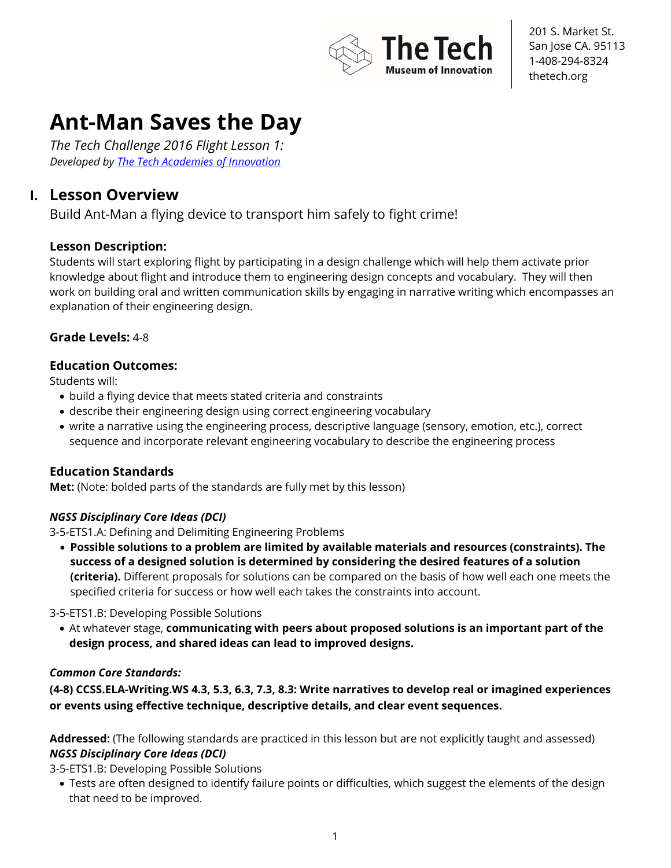

# **Ant-Man Saves the Day**

*The Tech Challenge 2016 Flight Lesson 1: Developed by The Tech Academies of Innovation*

### **I. Lesson Overview**

Build Ant-Man a flying device to transport him safely to fight crime!

#### **Lesson Description:**

Students will start exploring flight by participating in a design challenge which will help them activate prior knowledge about flight and introduce them to engineering design concepts and vocabulary. They will then work on building oral and written communication skills by engaging in narrative writing which encompasses an explanation of their engineering design.

#### **Grade Levels:** 4-8

#### **Education Outcomes:**

Students will:

- build a flying device that meets stated criteria and constraints
- describe their engineering design using correct engineering vocabulary
- write a narrative using the engineering process, descriptive language (sensory, emotion, etc.), correct sequence and incorporate relevant engineering vocabulary to describe the engineering process

#### **Education Standards**

**Met:** (Note: bolded parts of the standards are fully met by this lesson)

#### *NGSS Disciplinary Core Ideas (DCI)*

3-5-ETS1.A: Defining and Delimiting Engineering Problems

• **Possible solutions to a problem are limited by available materials and resources (constraints). The success of a designed solution is determined by considering the desired features of a solution (criteria).** Different proposals for solutions can be compared on the basis of how well each one meets the specified criteria for success or how well each takes the constraints into account.

3-5-ETS1.B: Developing Possible Solutions

• At whatever stage, **communicating with peers about proposed solutions is an important part of the design process, and shared ideas can lead to improved designs.**

#### *Common Core Standards:*

**(4-8) CCSS.ELA-Writing.WS 4.3, 5.3, 6.3, 7.3, 8.3: Write narratives to develop real or imagined experiences or events using effective technique, descriptive details, and clear event sequences.**

**Addressed:** (The following standards are practiced in this lesson but are not explicitly taught and assessed) *NGSS Disciplinary Core Ideas (DCI)* 

3-5-ETS1.B: Developing Possible Solutions

• Tests are often designed to identify failure points or difficulties, which suggest the elements of the design that need to be improved.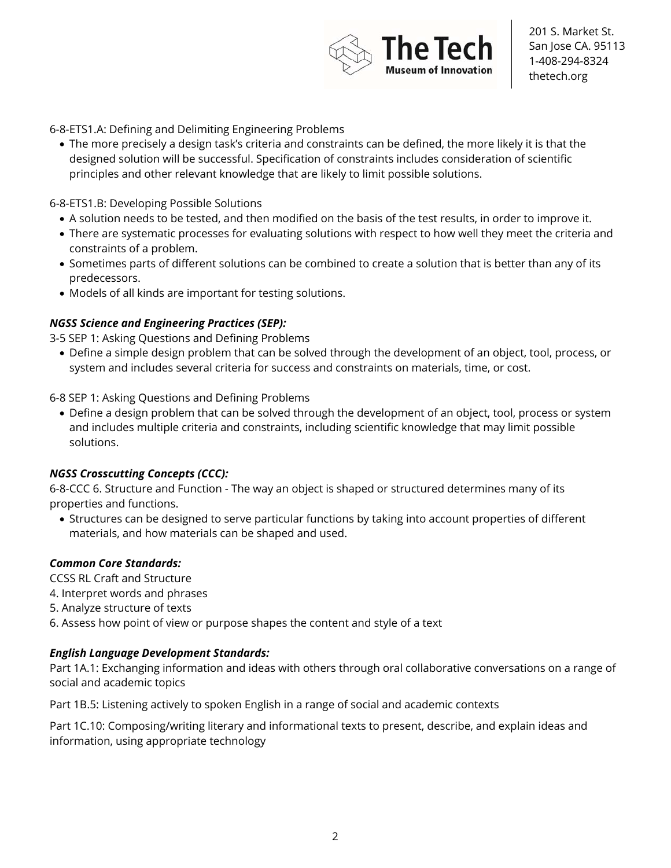

#### 6-8-ETS1.A: Defining and Delimiting Engineering Problems

• The more precisely a design task's criteria and constraints can be defined, the more likely it is that the designed solution will be successful. Specification of constraints includes consideration of scientific principles and other relevant knowledge that are likely to limit possible solutions.

#### 6-8-ETS1.B: Developing Possible Solutions

- A solution needs to be tested, and then modified on the basis of the test results, in order to improve it.
- There are systematic processes for evaluating solutions with respect to how well they meet the criteria and constraints of a problem.
- Sometimes parts of different solutions can be combined to create a solution that is better than any of its predecessors.
- Models of all kinds are important for testing solutions.

#### *NGSS Science and Engineering Practices (SEP):*

3-5 SEP 1: Asking Questions and Defining Problems

• Define a simple design problem that can be solved through the development of an object, tool, process, or system and includes several criteria for success and constraints on materials, time, or cost.

6-8 SEP 1: Asking Questions and Defining Problems

• Define a design problem that can be solved through the development of an object, tool, process or system and includes multiple criteria and constraints, including scientific knowledge that may limit possible solutions.

#### *NGSS Crosscutting Concepts (CCC):*

6-8-CCC 6. Structure and Function - The way an object is shaped or structured determines many of its properties and functions.

• Structures can be designed to serve particular functions by taking into account properties of different materials, and how materials can be shaped and used.

#### *Common Core Standards:*

CCSS RL Craft and Structure

- 4. Interpret words and phrases
- 5. Analyze structure of texts
- 6. Assess how point of view or purpose shapes the content and style of a text

#### *English Language Development Standards:*

Part 1A.1: Exchanging information and ideas with others through oral collaborative conversations on a range of social and academic topics

Part 1B.5: Listening actively to spoken English in a range of social and academic contexts

Part 1C.10: Composing/writing literary and informational texts to present, describe, and explain ideas and information, using appropriate technology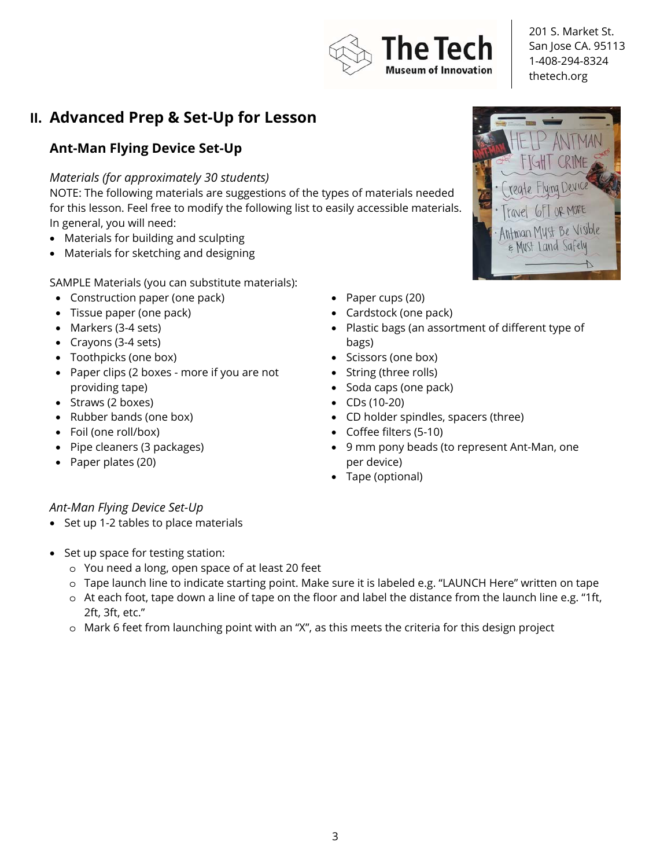

# **II. Advanced Prep & Set-Up for Lesson**

### **Ant-Man Flying Device Set-Up**

#### *Materials (for approximately 30 students)*

NOTE: The following materials are suggestions of the types of materials needed for this lesson. Feel free to modify the following list to easily accessible materials. In general, you will need:

- Materials for building and sculpting
- Materials for sketching and designing

SAMPLE Materials (you can substitute materials):

- Construction paper (one pack)
- Tissue paper (one pack)
- Markers (3-4 sets)
- Crayons (3-4 sets)
- Toothpicks (one box)
- Paper clips (2 boxes more if you are not providing tape)
- Straws (2 boxes)
- Rubber bands (one box)
- Foil (one roll/box)
- Pipe cleaners (3 packages)
- Paper plates (20)
- Paper cups (20)
- Cardstock (one pack)
- Plastic bags (an assortment of different type of bags)
- Scissors (one box)
- String (three rolls)
- Soda caps (one pack)
- CDs (10-20)
- CD holder spindles, spacers (three)
- Coffee filters (5-10)
- 9 mm pony beads (to represent Ant-Man, one per device)
- Tape (optional)

#### *Ant-Man Flying Device Set-Up*

- Set up 1-2 tables to place materials
- Set up space for testing station:
	- o You need a long, open space of at least 20 feet
	- o Tape launch line to indicate starting point. Make sure it is labeled e.g. "LAUNCH Here" written on tape
	- o At each foot, tape down a line of tape on the floor and label the distance from the launch line e.g. "1ft, 2ft, 3ft, etc."
	- o Mark 6 feet from launching point with an "X", as this meets the criteria for this design project

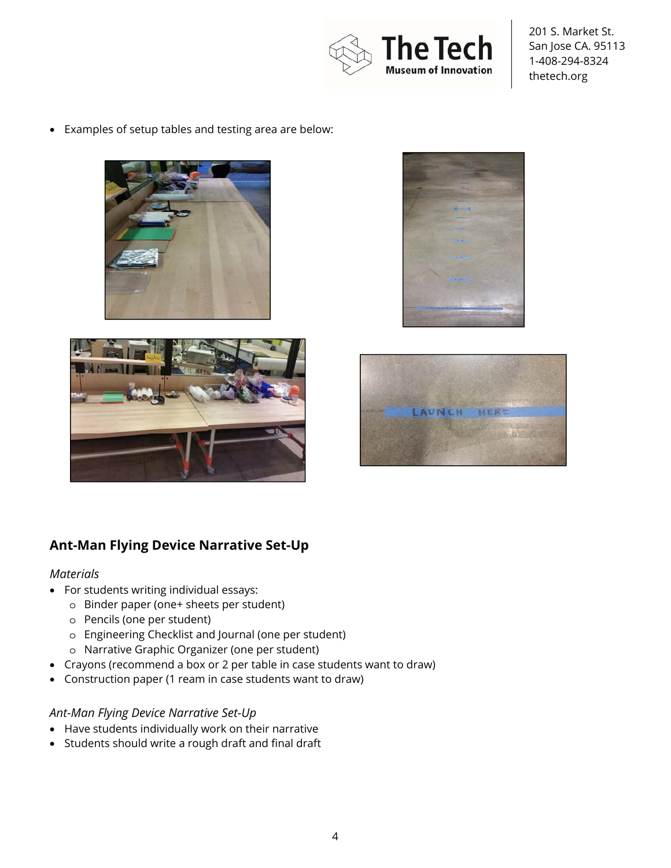

• Examples of setup tables and testing area are below:









### **Ant-Man Flying Device Narrative Set-Up**

#### *Materials*

- For students writing individual essays:
	- o Binder paper (one+ sheets per student)
	- o Pencils (one per student)
	- o Engineering Checklist and Journal (one per student)
	- o Narrative Graphic Organizer (one per student)
- Crayons (recommend a box or 2 per table in case students want to draw)
- Construction paper (1 ream in case students want to draw)

#### *Ant-Man Flying Device Narrative Set-Up*

- Have students individually work on their narrative
- Students should write a rough draft and final draft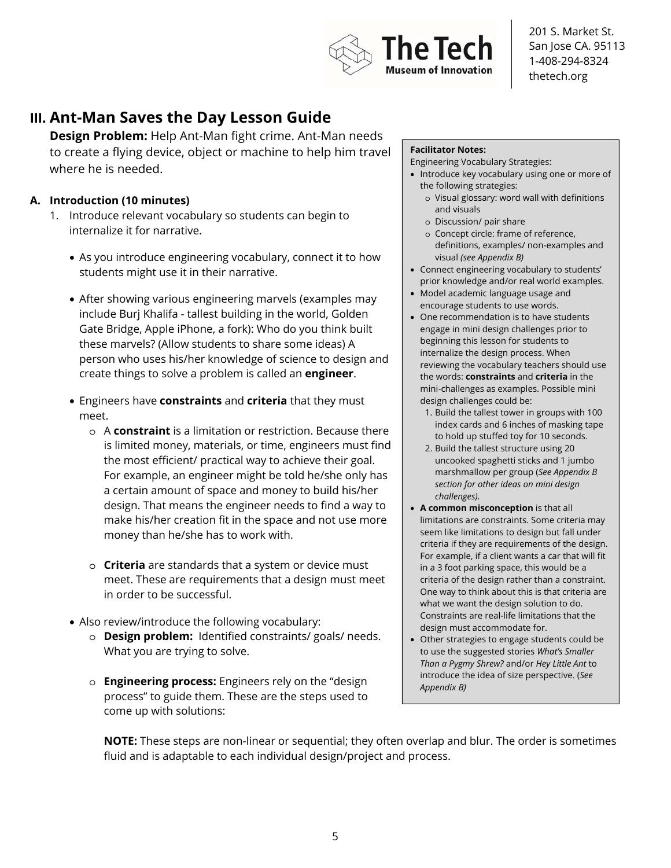

## **III. Ant-Man Saves the Day Lesson Guide**

**Design Problem:** Help Ant-Man fight crime. Ant-Man needs to create a flying device, object or machine to help him travel where he is needed.

#### **A. Introduction (10 minutes)**

- 1. Introduce relevant vocabulary so students can begin to internalize it for narrative.
	- As you introduce engineering vocabulary, connect it to how students might use it in their narrative.
	- After showing various engineering marvels (examples may include Burj Khalifa - tallest building in the world, Golden Gate Bridge, Apple iPhone, a fork): Who do you think built these marvels? (Allow students to share some ideas) A person who uses his/her knowledge of science to design and create things to solve a problem is called an **engineer**.
	- Engineers have **constraints** and **criteria** that they must meet.
		- o A **constraint** is a limitation or restriction. Because there is limited money, materials, or time, engineers must find the most efficient/ practical way to achieve their goal. For example, an engineer might be told he/she only has a certain amount of space and money to build his/her design. That means the engineer needs to find a way to make his/her creation fit in the space and not use more money than he/she has to work with.
		- o **Criteria** are standards that a system or device must meet. These are requirements that a design must meet in order to be successful.
	- Also review/introduce the following vocabulary:
		- o **Design problem:** Identified constraints/ goals/ needs. What you are trying to solve.
		- o **Engineering process:** Engineers rely on the "design process" to guide them. These are the steps used to come up with solutions:

#### **Facilitator Notes:**

Engineering Vocabulary Strategies:

- Introduce key vocabulary using one or more of the following strategies:
	- o Visual glossary: word wall with definitions and visuals
	- o Discussion/ pair share
	- o Concept circle: frame of reference, definitions, examples/ non-examples and visual *(see Appendix B)*
- Connect engineering vocabulary to students' prior knowledge and/or real world examples.
- Model academic language usage and encourage students to use words.
- One recommendation is to have students engage in mini design challenges prior to beginning this lesson for students to internalize the design process. When reviewing the vocabulary teachers should use the words: **constraints** and **criteria** in the mini-challenges as examples. Possible mini design challenges could be:
	- 1. Build the tallest tower in groups with 100 index cards and 6 inches of masking tape to hold up stuffed toy for 10 seconds.
	- 2. Build the tallest structure using 20 uncooked spaghetti sticks and 1 jumbo marshmallow per group (*See Appendix B section for other ideas on mini design challenges).*
- **A common misconception** is that all limitations are constraints. Some criteria may seem like limitations to design but fall under criteria if they are requirements of the design. For example, if a client wants a car that will fit in a 3 foot parking space, this would be a criteria of the design rather than a constraint. One way to think about this is that criteria are what we want the design solution to do. Constraints are real-life limitations that the design must accommodate for.
- Other strategies to engage students could be to use the suggested stories *What's Smaller Than a Pygmy Shrew?* and/or *Hey Little Ant* to introduce the idea of size perspective. (*See Appendix B)*

**NOTE:** These steps are non-linear or sequential; they often overlap and blur. The order is sometimes fluid and is adaptable to each individual design/project and process.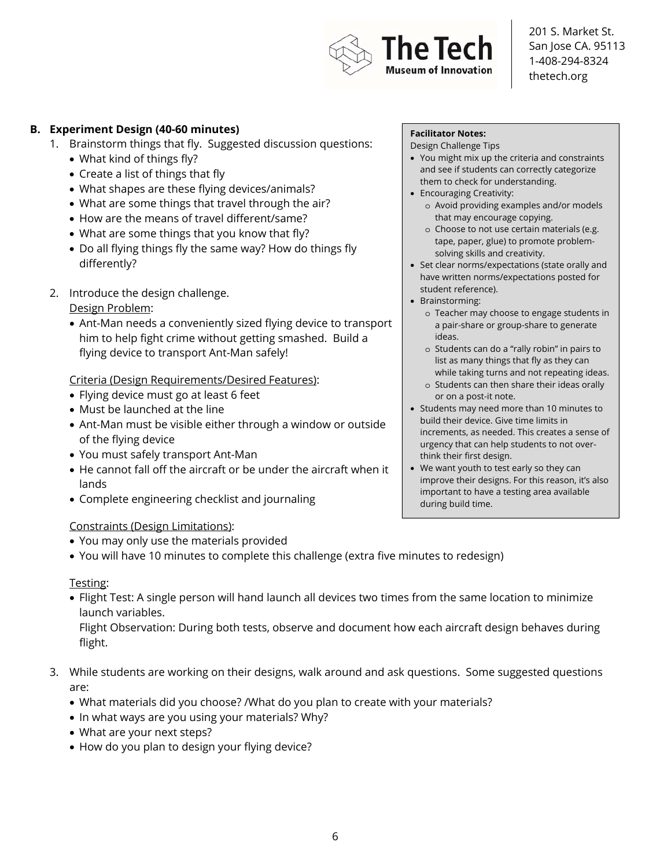

#### **B. Experiment Design (40-60 minutes)**

- 1. Brainstorm things that fly. Suggested discussion questions:
	- What kind of things fly?
	- Create a list of things that fly
	- What shapes are these flying devices/animals?
	- What are some things that travel through the air?
	- How are the means of travel different/same?
	- What are some things that you know that fly?
	- Do all flying things fly the same way? How do things fly differently?
- 2. Introduce the design challenge.

#### Design Problem:

• Ant-Man needs a conveniently sized flying device to transport him to help fight crime without getting smashed. Build a flying device to transport Ant-Man safely!

#### Criteria (Design Requirements/Desired Features):

- Flying device must go at least 6 feet
- Must be launched at the line
- Ant-Man must be visible either through a window or outside of the flying device
- You must safely transport Ant-Man
- He cannot fall off the aircraft or be under the aircraft when it lands
- Complete engineering checklist and journaling

#### Constraints (Design Limitations):

- You may only use the materials provided
- You will have 10 minutes to complete this challenge (extra five minutes to redesign)

#### Testing:

• Flight Test: A single person will hand launch all devices two times from the same location to minimize launch variables.

Flight Observation: During both tests, observe and document how each aircraft design behaves during flight.

- 3. While students are working on their designs, walk around and ask questions. Some suggested questions are:
	- What materials did you choose? /What do you plan to create with your materials?
	- In what ways are you using your materials? Why?
	- What are your next steps?
	- How do you plan to design your flying device?

#### **Facilitator Notes:**

Design Challenge Tips

- You might mix up the criteria and constraints and see if students can correctly categorize them to check for understanding.
- Encouraging Creativity:
	- o Avoid providing examples and/or models that may encourage copying.
	- o Choose to not use certain materials (e.g. tape, paper, glue) to promote problemsolving skills and creativity.
- Set clear norms/expectations (state orally and have written norms/expectations posted for student reference).
- Brainstorming:
	- o Teacher may choose to engage students in a pair-share or group-share to generate ideas.
	- o Students can do a "rally robin" in pairs to list as many things that fly as they can while taking turns and not repeating ideas.
	- o Students can then share their ideas orally or on a post-it note.
- Students may need more than 10 minutes to build their device. Give time limits in increments, as needed. This creates a sense of urgency that can help students to not overthink their first design.
- We want youth to test early so they can improve their designs. For this reason, it's also important to have a testing area available during build time.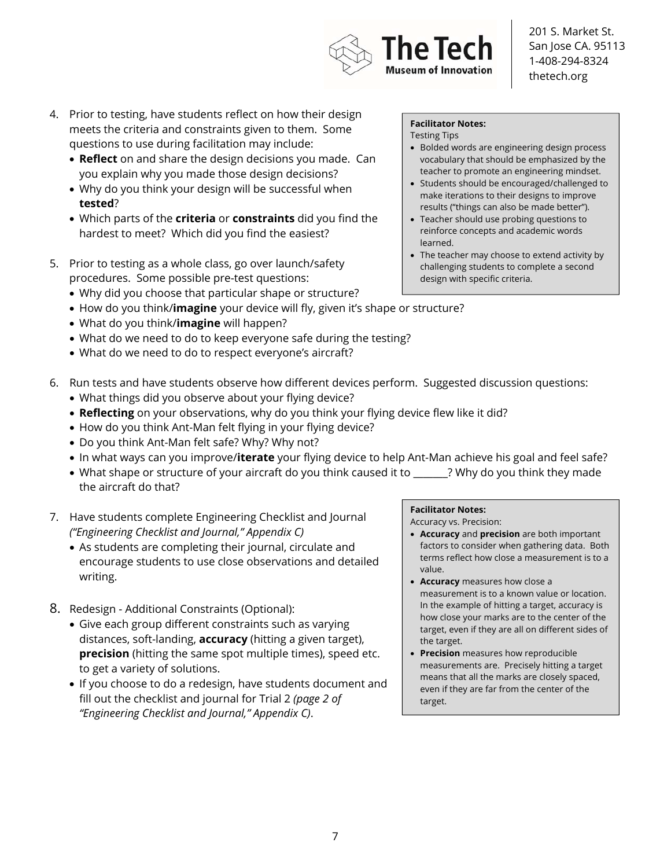#### 4. Prior to testing, have students reflect on how their design meets the criteria and constraints given to them. Some questions to use during facilitation may include:

- **Reflect** on and share the design decisions you made. Can you explain why you made those design decisions?
- Why do you think your design will be successful when **tested**?
- Which parts of the **criteria** or **constraints** did you find the hardest to meet? Which did you find the easiest?
- 5. Prior to testing as a whole class, go over launch/safety procedures. Some possible pre-test questions:
	- Why did you choose that particular shape or structure?
	- How do you think/**imagine** your device will fly, given it's shape or structure?
	- What do you think/**imagine** will happen?
	- What do we need to do to keep everyone safe during the testing?
	- What do we need to do to respect everyone's aircraft?

#### 6. Run tests and have students observe how different devices perform. Suggested discussion questions:

- What things did you observe about your flying device?
- **Reflecting** on your observations, why do you think your flying device flew like it did?
- How do you think Ant-Man felt flying in your flying device?
- Do you think Ant-Man felt safe? Why? Why not?
- In what ways can you improve/**iterate** your flying device to help Ant-Man achieve his goal and feel safe?
- What shape or structure of your aircraft do you think caused it to \_\_\_\_\_\_? Why do you think they made the aircraft do that?
- 7. Have students complete Engineering Checklist and Journal *("Engineering Checklist and Journal," Appendix C)*
	- As students are completing their journal, circulate and encourage students to use close observations and detailed writing.
- 8. Redesign Additional Constraints (Optional):
	- Give each group different constraints such as varying distances, soft-landing, **accuracy** (hitting a given target), **precision** (hitting the same spot multiple times), speed etc. to get a variety of solutions.
	- If you choose to do a redesign, have students document and fill out the checklist and journal for Trial 2 *(page 2 of "Engineering Checklist and Journal," Appendix C)*.

#### **Facilitator Notes:**

Testing Tips

• Bolded words are engineering design process vocabulary that should be emphasized by the teacher to promote an engineering mindset.

201 S. Market St. San Jose CA. 95113 1-408-294-8324 thetech.org

- Students should be encouraged/challenged to make iterations to their designs to improve results ("things can also be made better").
- Teacher should use probing questions to reinforce concepts and academic words learned.
- The teacher may choose to extend activity by challenging students to complete a second design with specific criteria.

#### **Facilitator Notes:**

Accuracy vs. Precision:

- **Accuracy** and **precision** are both important factors to consider when gathering data. Both terms reflect how close a measurement is to a value.
- **Accuracy** measures how close a measurement is to a known value or location. In the example of hitting a target, accuracy is how close your marks are to the center of the target, even if they are all on different sides of the target.
- **Precision** measures how reproducible measurements are. Precisely hitting a target means that all the marks are closely spaced, even if they are far from the center of the target.



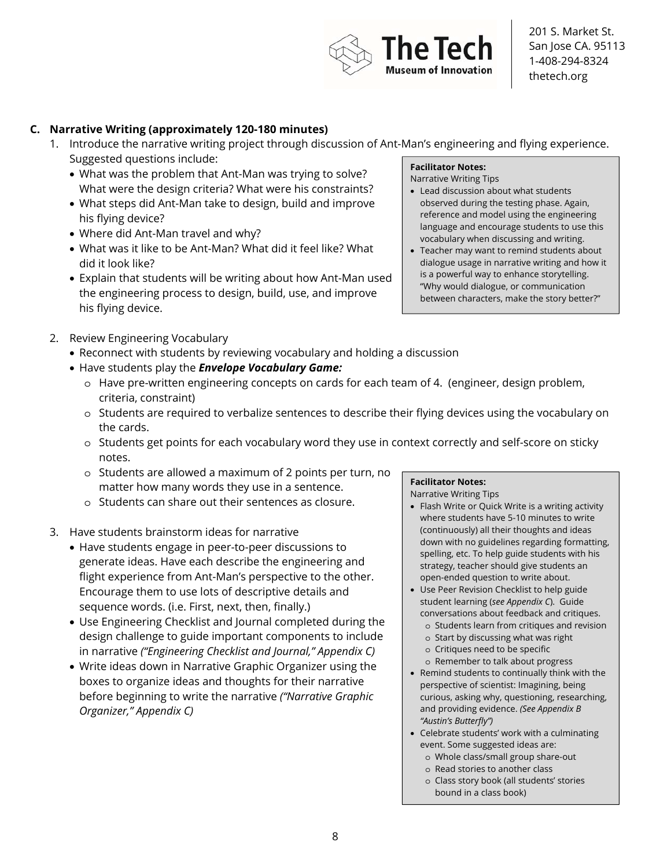

#### **C. Narrative Writing (approximately 120-180 minutes)**

- 1. Introduce the narrative writing project through discussion of Ant-Man's engineering and flying experience. Suggested questions include: **Facilitator Notes:** 
	- What was the problem that Ant-Man was trying to solve? What were the design criteria? What were his constraints?
	- What steps did Ant-Man take to design, build and improve his flying device?
	- Where did Ant-Man travel and why?
	- What was it like to be Ant-Man? What did it feel like? What did it look like?
	- Explain that students will be writing about how Ant-Man used the engineering process to design, build, use, and improve his flying device.

#### 2. Review Engineering Vocabulary

- Reconnect with students by reviewing vocabulary and holding a discussion
- Have students play the *Envelope Vocabulary Game:*
	- o Have pre-written engineering concepts on cards for each team of 4. (engineer, design problem, criteria, constraint)
	- o Students are required to verbalize sentences to describe their flying devices using the vocabulary on the cards.
	- o Students get points for each vocabulary word they use in context correctly and self-score on sticky notes.
	- o Students are allowed a maximum of 2 points per turn, no matter how many words they use in a sentence.
	- o Students can share out their sentences as closure.
- 3. Have students brainstorm ideas for narrative
	- Have students engage in peer-to-peer discussions to generate ideas. Have each describe the engineering and flight experience from Ant-Man's perspective to the other. Encourage them to use lots of descriptive details and sequence words. (i.e. First, next, then, finally.)
	- Use Engineering Checklist and Journal completed during the design challenge to guide important components to include in narrative *("Engineering Checklist and Journal," Appendix C)*
	- Write ideas down in Narrative Graphic Organizer using the boxes to organize ideas and thoughts for their narrative before beginning to write the narrative *("Narrative Graphic Organizer," Appendix C)*

# • Teacher may want to remind students about

Narrative Writing Tips

dialogue usage in narrative writing and how it is a powerful way to enhance storytelling. "Why would dialogue, or communication between characters, make the story better?"

• Lead discussion about what students observed during the testing phase. Again, reference and model using the engineering language and encourage students to use this vocabulary when discussing and writing.

#### **Facilitator Notes:**

Narrative Writing Tips

- Flash Write or Quick Write is a writing activity where students have 5-10 minutes to write (continuously) all their thoughts and ideas down with no guidelines regarding formatting, spelling, etc. To help guide students with his strategy, teacher should give students an open-ended question to write about.
- Use Peer Revision Checklist to help guide student learning (*see Appendix C*). Guide conversations about feedback and critiques.
	- o Students learn from critiques and revision
	- o Start by discussing what was right
	- o Critiques need to be specific
	- o Remember to talk about progress
- Remind students to continually think with the perspective of scientist: Imagining, being curious, asking why, questioning, researching, and providing evidence. *(See Appendix B "Austin's Butterfly")*
- Celebrate students' work with a culminating event. Some suggested ideas are:
	- o Whole class/small group share-out
	- o Read stories to another class
	- o Class story book (all students' stories bound in a class book)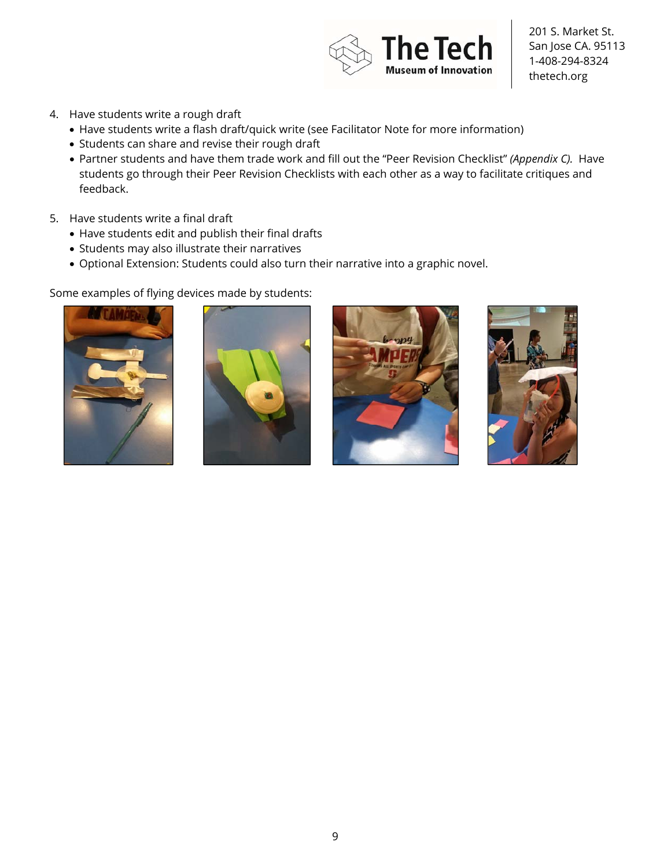

- 4. Have students write a rough draft
	- Have students write a flash draft/quick write (see Facilitator Note for more information)
	- Students can share and revise their rough draft
	- Partner students and have them trade work and fill out the "Peer Revision Checklist" *(Appendix C).* Have students go through their Peer Revision Checklists with each other as a way to facilitate critiques and feedback.
- 5. Have students write a final draft
	- Have students edit and publish their final drafts
	- Students may also illustrate their narratives
	- Optional Extension: Students could also turn their narrative into a graphic novel.

Some examples of flying devices made by students:







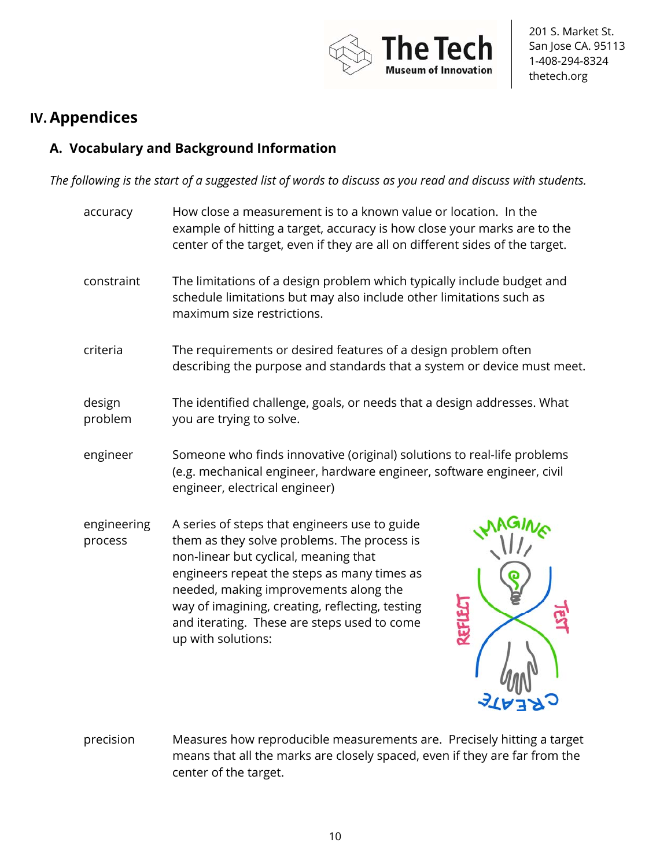

### **IV.Appendices**

### **A. Vocabulary and Background Information**

*The following is the start of a suggested list of words to discuss as you read and discuss with students.* 

- accuracy How close a measurement is to a known value or location. In the example of hitting a target, accuracy is how close your marks are to the center of the target, even if they are all on different sides of the target. constraint The limitations of a design problem which typically include budget and schedule limitations but may also include other limitations such as maximum size restrictions. criteria The requirements or desired features of a design problem often describing the purpose and standards that a system or device must meet. design problem The identified challenge, goals, or needs that a design addresses. What you are trying to solve. engineer Someone who finds innovative (original) solutions to real-life problems (e.g. mechanical engineer, hardware engineer, software engineer, civil engineer, electrical engineer) engineering process A series of steps that engineers use to guide them as they solve problems. The process is non-linear but cyclical, meaning that engineers repeat the steps as many times as needed, making improvements along the way of imagining, creating, reflecting, testing and iterating. These are steps used to come up with solutions:
- precision Measures how reproducible measurements are. Precisely hitting a target means that all the marks are closely spaced, even if they are far from the center of the target.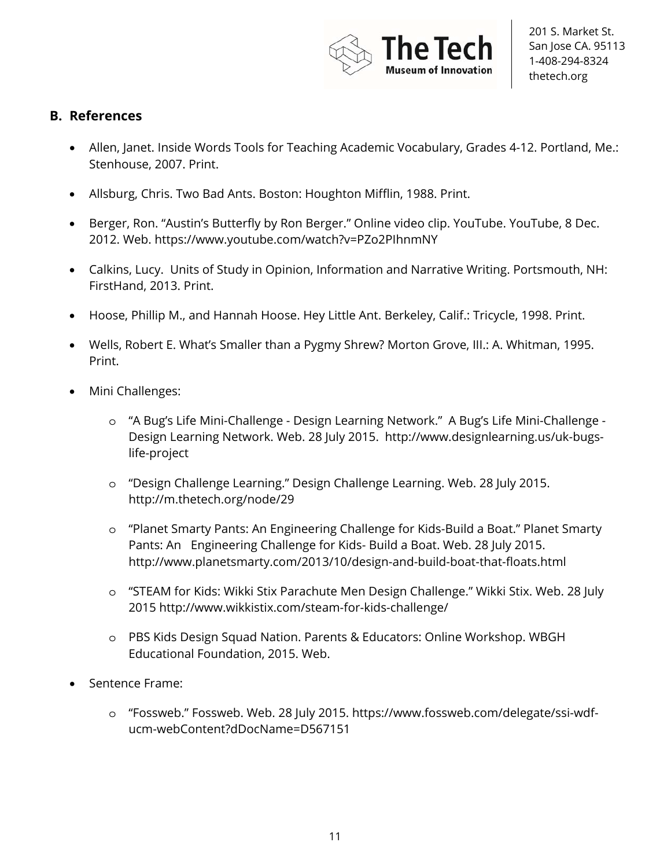

#### **B. References**

- Allen, Janet. Inside Words Tools for Teaching Academic Vocabulary, Grades 4-12. Portland, Me.: Stenhouse, 2007. Print.
- Allsburg, Chris. Two Bad Ants. Boston: Houghton Mifflin, 1988. Print.
- Berger, Ron. "Austin's Butterfly by Ron Berger." Online video clip. YouTube. YouTube, 8 Dec. 2012. Web. https://www.youtube.com/watch?v=PZo2PIhnmNY
- Calkins, Lucy. Units of Study in Opinion, Information and Narrative Writing. Portsmouth, NH: FirstHand, 2013. Print.
- Hoose, Phillip M., and Hannah Hoose. Hey Little Ant. Berkeley, Calif.: Tricycle, 1998. Print.
- Wells, Robert E. What's Smaller than a Pygmy Shrew? Morton Grove, III.: A. Whitman, 1995. Print.
- Mini Challenges:
	- o "A Bug's Life Mini-Challenge Design Learning Network." A Bug's Life Mini-Challenge Design Learning Network. Web. 28 July 2015. http://www.designlearning.us/uk-bugslife-project
	- o "Design Challenge Learning." Design Challenge Learning. Web. 28 July 2015. http://m.thetech.org/node/29
	- o "Planet Smarty Pants: An Engineering Challenge for Kids-Build a Boat." Planet Smarty Pants: An Engineering Challenge for Kids- Build a Boat. Web. 28 July 2015. http://www.planetsmarty.com/2013/10/design-and-build-boat-that-floats.html
	- o "STEAM for Kids: Wikki Stix Parachute Men Design Challenge." Wikki Stix. Web. 28 July 2015 http://www.wikkistix.com/steam-for-kids-challenge/
	- o PBS Kids Design Squad Nation. Parents & Educators: Online Workshop. WBGH Educational Foundation, 2015. Web.
- Sentence Frame:
	- o "Fossweb." Fossweb. Web. 28 July 2015. https://www.fossweb.com/delegate/ssi-wdfucm-webContent?dDocName=D567151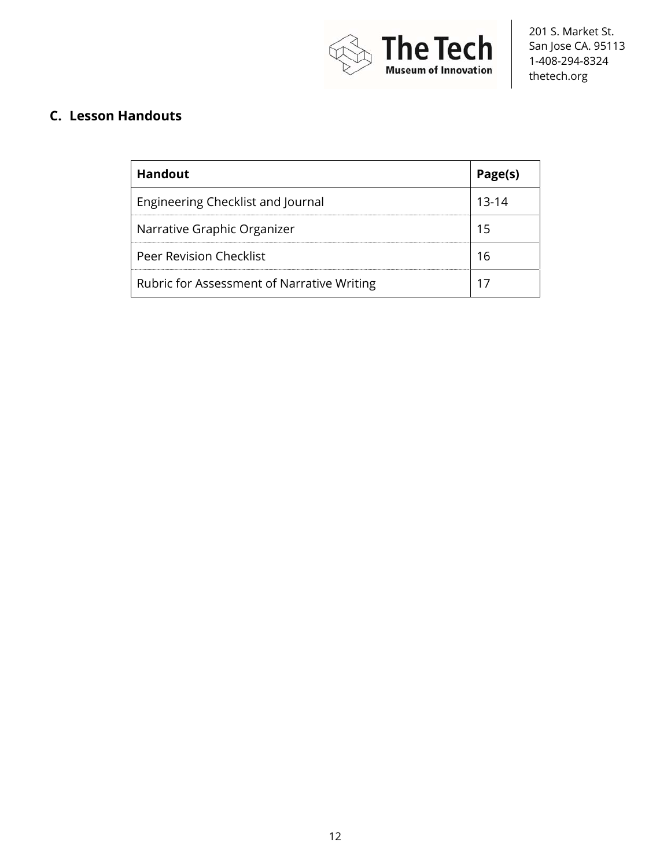

### **C. Lesson Handouts**

| <b>Handout</b>                             | Page(s) |
|--------------------------------------------|---------|
| Engineering Checklist and Journal          | 13-14   |
| Narrative Graphic Organizer                |         |
| Peer Revision Checklist                    | l h     |
| Rubric for Assessment of Narrative Writing |         |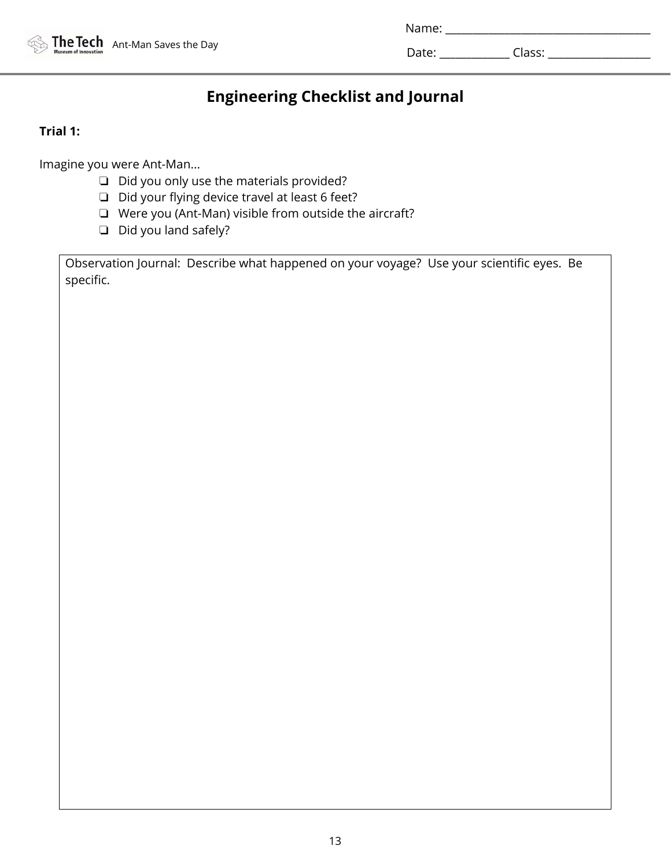|  | <b>The Tech</b> Ant-Man Saves the Day |
|--|---------------------------------------|
|  |                                       |

| Name: |  |  |  |  |  |
|-------|--|--|--|--|--|
|       |  |  |  |  |  |

Date: \_\_\_\_\_\_\_\_\_\_\_\_\_ Class: \_\_\_\_\_\_\_\_\_\_\_\_\_\_\_\_\_\_\_

# **Engineering Checklist and Journal**

#### **Trial 1:**

Imagine you were Ant-Man...

- ❏ Did you only use the materials provided?
- ❏ Did your flying device travel at least 6 feet?
- ❏ Were you (Ant-Man) visible from outside the aircraft?
- ❏ Did you land safely?

Observation Journal: Describe what happened on your voyage? Use your scientific eyes. Be specific.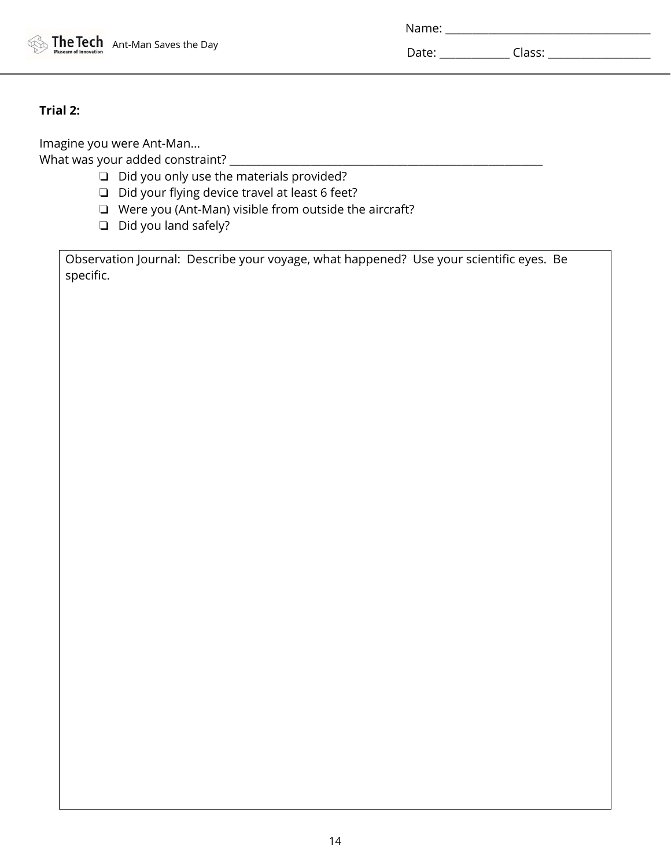|  |  | <b>The Tech</b> Ant-Man Saves the Day |
|--|--|---------------------------------------|
|--|--|---------------------------------------|

| Name: |  |
|-------|--|
|       |  |

Date: \_\_\_\_\_\_\_\_\_\_\_\_\_ Class: \_\_\_\_\_\_\_\_\_\_\_\_\_\_\_\_\_\_\_

#### **Trial 2:**

Imagine you were Ant-Man... What was your added constraint? \_\_\_\_\_\_\_\_\_\_\_\_\_\_\_\_\_\_\_\_\_\_\_\_\_\_\_\_\_\_\_\_\_\_\_\_\_\_\_\_\_\_\_\_\_\_\_\_\_\_\_\_\_\_\_\_\_\_

- ❏ Did you only use the materials provided?
- ❏ Did your flying device travel at least 6 feet?
- ❏ Were you (Ant-Man) visible from outside the aircraft?
- ❏ Did you land safely?

Observation Journal: Describe your voyage, what happened? Use your scientific eyes. Be specific.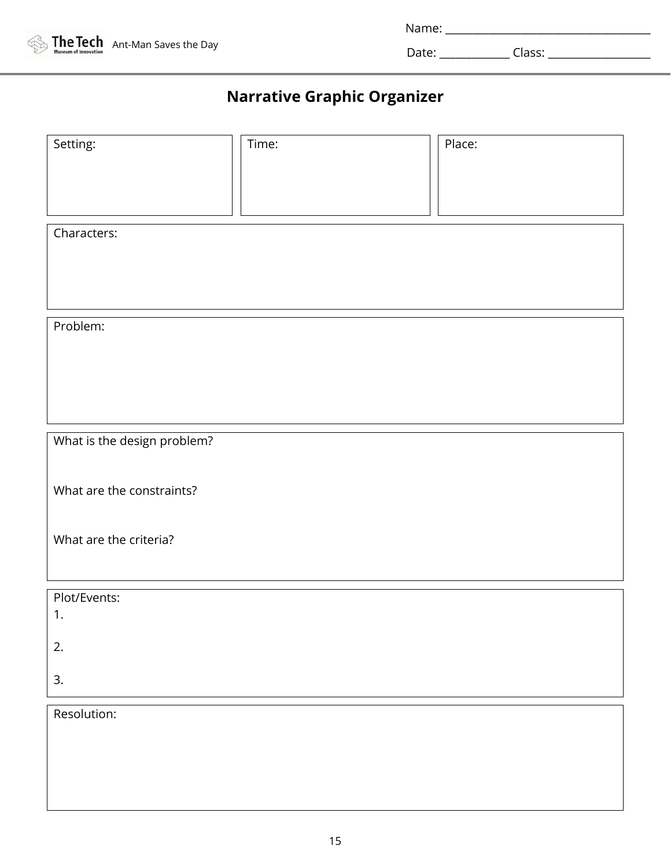

| Name <sup>.</sup><br>---- |  |  |  |
|---------------------------|--|--|--|
|                           |  |  |  |
|                           |  |  |  |

Date: \_\_\_\_\_\_\_\_\_\_\_\_\_ Class: \_\_\_\_\_\_\_\_\_\_\_\_\_\_\_\_\_\_\_

# **Narrative Graphic Organizer**

| Setting:                    | Time: | Place: |  |  |  |  |
|-----------------------------|-------|--------|--|--|--|--|
|                             |       |        |  |  |  |  |
|                             |       |        |  |  |  |  |
| Characters:                 |       |        |  |  |  |  |
|                             |       |        |  |  |  |  |
|                             |       |        |  |  |  |  |
|                             |       |        |  |  |  |  |
| Problem:                    |       |        |  |  |  |  |
|                             |       |        |  |  |  |  |
|                             |       |        |  |  |  |  |
|                             |       |        |  |  |  |  |
| What is the design problem? |       |        |  |  |  |  |
|                             |       |        |  |  |  |  |
| What are the constraints?   |       |        |  |  |  |  |
|                             |       |        |  |  |  |  |
| What are the criteria?      |       |        |  |  |  |  |
|                             |       |        |  |  |  |  |
| Plot/Events:                |       |        |  |  |  |  |
| 1.                          |       |        |  |  |  |  |
| 2.                          |       |        |  |  |  |  |
| 3.                          |       |        |  |  |  |  |
| Resolution:                 |       |        |  |  |  |  |
|                             |       |        |  |  |  |  |
|                             |       |        |  |  |  |  |
|                             |       |        |  |  |  |  |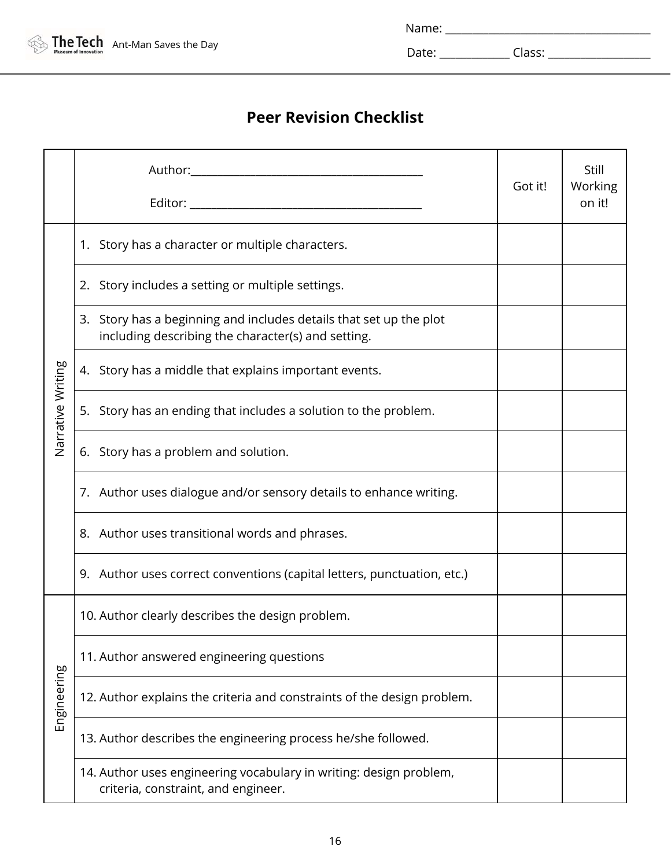

Name: \_\_\_\_\_\_\_\_\_\_\_\_\_\_\_\_\_\_\_\_\_\_\_\_\_\_\_\_\_\_\_\_\_\_\_\_\_\_

Date: \_\_\_\_\_\_\_\_\_\_\_\_\_ Class: \_\_\_\_\_\_\_\_\_\_\_\_\_\_\_\_\_\_\_

# **Peer Revision Checklist**

|                   |                                                                                                                          | Got it! | Still<br>Working<br>on it! |
|-------------------|--------------------------------------------------------------------------------------------------------------------------|---------|----------------------------|
|                   | 1. Story has a character or multiple characters.                                                                         |         |                            |
|                   | 2. Story includes a setting or multiple settings.                                                                        |         |                            |
|                   | 3. Story has a beginning and includes details that set up the plot<br>including describing the character(s) and setting. |         |                            |
|                   | 4. Story has a middle that explains important events.                                                                    |         |                            |
| Narrative Writing | 5. Story has an ending that includes a solution to the problem.                                                          |         |                            |
|                   | 6. Story has a problem and solution.                                                                                     |         |                            |
|                   | 7. Author uses dialogue and/or sensory details to enhance writing.                                                       |         |                            |
|                   | 8. Author uses transitional words and phrases.                                                                           |         |                            |
|                   | 9. Author uses correct conventions (capital letters, punctuation, etc.)                                                  |         |                            |
|                   | 10. Author clearly describes the design problem.                                                                         |         |                            |
|                   | 11. Author answered engineering questions                                                                                |         |                            |
| Engineering       | 12. Author explains the criteria and constraints of the design problem.                                                  |         |                            |
|                   | 13. Author describes the engineering process he/she followed.                                                            |         |                            |
|                   | 14. Author uses engineering vocabulary in writing: design problem,<br>criteria, constraint, and engineer.                |         |                            |